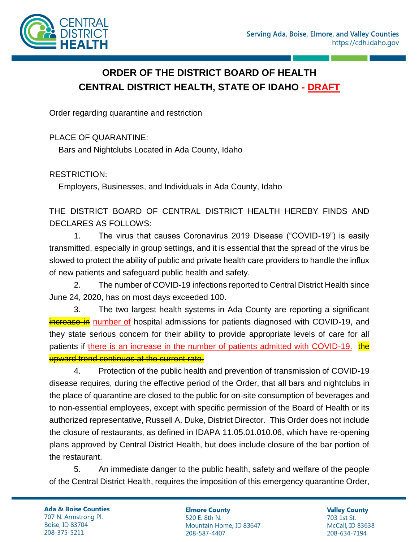

# **ORDER OF THE DISTRICT BOARD OF HEALTH CENTRAL DISTRICT HEALTH, STATE OF IDAHO - DRAFT**

Order regarding quarantine and restriction

PLACE OF QUARANTINE:

Bars and Nightclubs Located in Ada County, Idaho

RESTRICTION:

Employers, Businesses, and Individuals in Ada County, Idaho

THE DISTRICT BOARD OF CENTRAL DISTRICT HEALTH HEREBY FINDS AND DECLARES AS FOLLOWS:

1. The virus that causes Coronavirus 2019 Disease ("COVID-19") is easily transmitted, especially in group settings, and it is essential that the spread of the virus be slowed to protect the ability of public and private health care providers to handle the influx of new patients and safeguard public health and safety.

2. The number of COVID-19 infections reported to Central District Health since June 24, 2020, has on most days exceeded 100.

3. The two largest health systems in Ada County are reporting a significant increase in number of hospital admissions for patients diagnosed with COVID-19, and they state serious concern for their ability to provide appropriate levels of care for all patients if there is an increase in the number of patients admitted with COVID-19. the upward trend continues at the current rate.

4. Protection of the public health and prevention of transmission of COVID-19 disease requires, during the effective period of the Order, that all bars and nightclubs in the place of quarantine are closed to the public for on-site consumption of beverages and to non-essential employees, except with specific permission of the Board of Health or its authorized representative, Russell A. Duke, District Director. This Order does not include the closure of restaurants, as defined in IDAPA 11.05.01.010.06, which have re-opening plans approved by Central District Health, but does include closure of the bar portion of the restaurant.

5. An immediate danger to the public health, safety and welfare of the people of the Central District Health, requires the imposition of this emergency quarantine Order,

**Ada & Boise Counties** 707 N. Armstrong Pl. **Boise, ID 83704** 208-375-5211

**Elmore County** 520 E. 8th N. Mountain Home, ID 83647 208-587-4407

**Valley County** 703 1st St. McCall, ID 83638 208-634-7194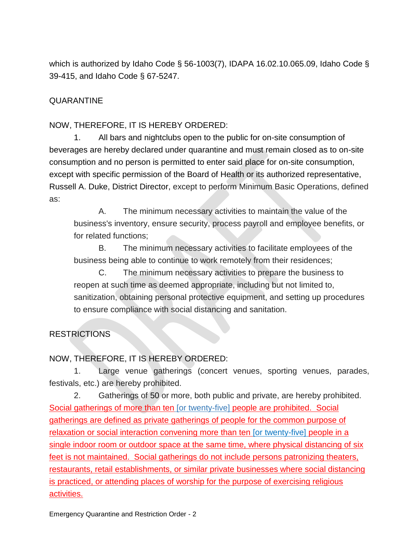which is authorized by Idaho Code § 56-1003(7), IDAPA 16.02.10.065.09, Idaho Code § 39-415, and Idaho Code § 67-5247.

## QUARANTINE

### NOW, THEREFORE, IT IS HEREBY ORDERED:

1. All bars and nightclubs open to the public for on-site consumption of beverages are hereby declared under quarantine and must remain closed as to on-site consumption and no person is permitted to enter said place for on-site consumption, except with specific permission of the Board of Health or its authorized representative, Russell A. Duke, District Director, except to perform Minimum Basic Operations, defined as:

A. The minimum necessary activities to maintain the value of the business's inventory, ensure security, process payroll and employee benefits, or for related functions;

B. The minimum necessary activities to facilitate employees of the business being able to continue to work remotely from their residences;

C. The minimum necessary activities to prepare the business to reopen at such time as deemed appropriate, including but not limited to, sanitization, obtaining personal protective equipment, and setting up procedures to ensure compliance with social distancing and sanitation.

### RESTRICTIONS

### NOW, THEREFORE, IT IS HEREBY ORDERED:

1. Large venue gatherings (concert venues, sporting venues, parades, festivals, etc.) are hereby prohibited.

2. Gatherings of 50 or more, both public and private, are hereby prohibited. Social gatherings of more than ten [or twenty-five] people are prohibited. Social gatherings are defined as private gatherings of people for the common purpose of relaxation or social interaction convening more than ten [or twenty-five] people in a single indoor room or outdoor space at the same time, where physical distancing of six feet is not maintained. Social gatherings do not include persons patronizing theaters, restaurants, retail establishments, or similar private businesses where social distancing is practiced, or attending places of worship for the purpose of exercising religious activities.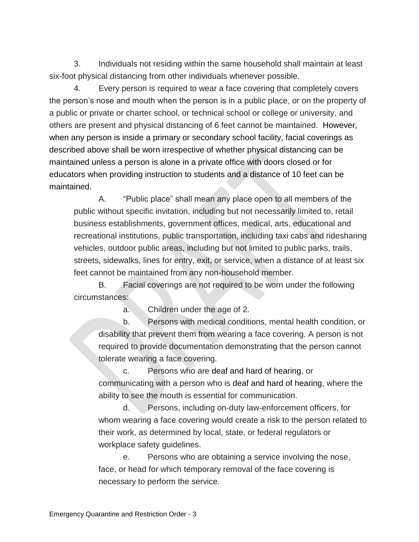3. Individuals not residing within the same household shall maintain at least six-foot physical distancing from other individuals whenever possible.

4. Every person is required to wear a face covering that completely covers the person's nose and mouth when the person is in a public place, or on the property of a public or private or charter school, or technical school or college or university, and others are present and physical distancing of 6 feet cannot be maintained. However, when any person is inside a primary or secondary school facility, facial coverings as described above shall be worn irrespective of whether physical distancing can be maintained unless a person is alone in a private office with doors closed or for educators when providing instruction to students and a distance of 10 feet can be maintained.

A. "Public place" shall mean any place open to all members of the public without specific invitation, including but not necessarily limited to, retail business establishments, government offices, medical, arts, educational and recreational institutions, public transportation, including taxi cabs and ridesharing vehicles, outdoor public areas, including but not limited to public parks, trails, streets, sidewalks, lines for entry, exit, or service, when a distance of at least six feet cannot be maintained from any non-household member.

B. Facial coverings are not required to be worn under the following circumstances:

a. Children under the age of 2.

b. Persons with medical conditions, mental health condition, or disability that prevent them from wearing a face covering. A person is not required to provide documentation demonstrating that the person cannot tolerate wearing a face covering.

c. Persons who are deaf and hard of hearing, or communicating with a person who is deaf and hard of hearing, where the ability to see the mouth is essential for communication.

d. Persons, including on-duty law-enforcement officers, for whom wearing a face covering would create a risk to the person related to their work, as determined by local, state, or federal regulators or workplace safety guidelines.

e. Persons who are obtaining a service involving the nose, face, or head for which temporary removal of the face covering is necessary to perform the service.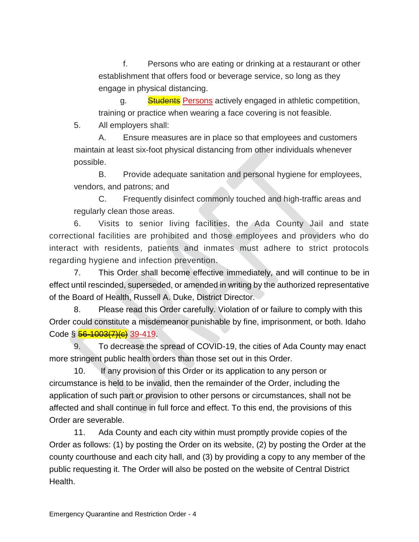f. Persons who are eating or drinking at a restaurant or other establishment that offers food or beverage service, so long as they engage in physical distancing.

g. Students Persons actively engaged in athletic competition, training or practice when wearing a face covering is not feasible.

5. All employers shall:

A. Ensure measures are in place so that employees and customers maintain at least six-foot physical distancing from other individuals whenever possible.

B. Provide adequate sanitation and personal hygiene for employees, vendors, and patrons; and

C. Frequently disinfect commonly touched and high-traffic areas and regularly clean those areas.

6. Visits to senior living facilities, the Ada County Jail and state correctional facilities are prohibited and those employees and providers who do interact with residents, patients and inmates must adhere to strict protocols regarding hygiene and infection prevention.

7. This Order shall become effective immediately, and will continue to be in effect until rescinded, superseded, or amended in writing by the authorized representative of the Board of Health, Russell A. Duke, District Director.

8. Please read this Order carefully. Violation of or failure to comply with this Order could constitute a misdemeanor punishable by fine, imprisonment, or both. Idaho Code § <del>56-1003(7)(c)</del> 39-419.

9. To decrease the spread of COVID-19, the cities of Ada County may enact more stringent public health orders than those set out in this Order.

10. If any provision of this Order or its application to any person or circumstance is held to be invalid, then the remainder of the Order, including the application of such part or provision to other persons or circumstances, shall not be affected and shall continue in full force and effect. To this end, the provisions of this Order are severable.

11. Ada County and each city within must promptly provide copies of the Order as follows: (1) by posting the Order on its website, (2) by posting the Order at the county courthouse and each city hall, and (3) by providing a copy to any member of the public requesting it. The Order will also be posted on the website of Central District Health.